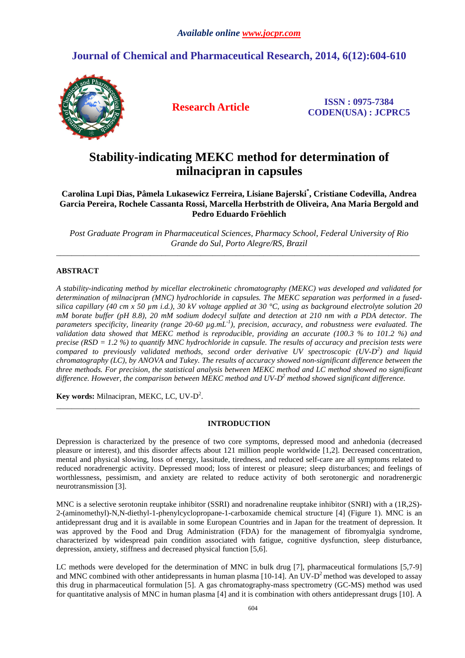## **Journal of Chemical and Pharmaceutical Research, 2014, 6(12):604-610**



**Research Article ISSN : 0975-7384 CODEN(USA) : JCPRC5**

# **Stability-indicating MEKC method for determination of milnacipran in capsules**

**Carolina Lupi Dias, Pâmela Lukasewicz Ferreira, Lisiane Bajerski\* , Cristiane Codevilla, Andrea Garcia Pereira, Rochele Cassanta Rossi, Marcella Herbstrith de Oliveira, Ana Maria Bergold and Pedro Eduardo Fröehlich**

*Post Graduate Program in Pharmaceutical Sciences, Pharmacy School, Federal University of Rio Grande do Sul, Porto Alegre/RS, Brazil*  \_\_\_\_\_\_\_\_\_\_\_\_\_\_\_\_\_\_\_\_\_\_\_\_\_\_\_\_\_\_\_\_\_\_\_\_\_\_\_\_\_\_\_\_\_\_\_\_\_\_\_\_\_\_\_\_\_\_\_\_\_\_\_\_\_\_\_\_\_\_\_\_\_\_\_\_\_\_\_\_\_\_\_\_\_\_\_\_\_\_\_\_\_

## **ABSTRACT**

*A stability-indicating method by micellar electrokinetic chromatography (MEKC) was developed and validated for determination of milnacipran (MNC) hydrochloride in capsules. The MEKC separation was performed in a fusedsilica capillary (40 cm x 50 µm i.d.), 30 kV voltage applied at 30 °C, using as background electrolyte solution 20 mM borate buffer (pH 8.8), 20 mM sodium dodecyl sulfate and detection at 210 nm with a PDA detector. The parameters specificity, linearity (range 20-60 µg.mL -1), precision, accuracy, and robustness were evaluated. The validation data showed that MEKC method is reproducible, providing an accurate (100.3 % to 101.2 %) and precise (RSD = 1.2 %) to quantify MNC hydrochloride in capsule. The results of accuracy and precision tests were compared to previously validated methods, second order derivative UV spectroscopic (UV-D<sup>2</sup> ) and liquid chromatography (LC), by ANOVA and Tukey. The results of accuracy showed non-significant difference between the three methods. For precision, the statistical analysis between MEKC method and LC method showed no significant difference. However, the comparison between MEKC method and UV-D<sup>2</sup> method showed significant difference.* 

**Key words:** Milnacipran, MEKC, LC, UV-D<sup>2</sup>.

#### **INTRODUCTION**

\_\_\_\_\_\_\_\_\_\_\_\_\_\_\_\_\_\_\_\_\_\_\_\_\_\_\_\_\_\_\_\_\_\_\_\_\_\_\_\_\_\_\_\_\_\_\_\_\_\_\_\_\_\_\_\_\_\_\_\_\_\_\_\_\_\_\_\_\_\_\_\_\_\_\_\_\_\_\_\_\_\_\_\_\_\_\_\_\_\_\_\_\_

Depression is characterized by the presence of two core symptoms, depressed mood and anhedonia (decreased pleasure or interest), and this disorder affects about 121 million people worldwide [1,2]. Decreased concentration, mental and physical slowing, loss of energy, lassitude, tiredness, and reduced self-care are all symptoms related to reduced noradrenergic activity. Depressed mood; loss of interest or pleasure; sleep disturbances; and feelings of worthlessness, pessimism, and anxiety are related to reduce activity of both serotonergic and noradrenergic neurotransmission [3].

MNC is a selective serotonin reuptake inhibitor (SSRI) and noradrenaline reuptake inhibitor (SNRI) with a (1R,2S)- 2-(aminomethyl)-N,N-diethyl-1-phenylcyclopropane-1-carboxamide chemical structure [4] (Figure 1). MNC is an antidepressant drug and it is available in some European Countries and in Japan for the treatment of depression. It was approved by the Food and Drug Administration (FDA) for the management of fibromyalgia syndrome, characterized by widespread pain condition associated with fatigue, cognitive dysfunction, sleep disturbance, depression, anxiety, stiffness and decreased physical function [5,6].

LC methods were developed for the determination of MNC in bulk drug [7], pharmaceutical formulations [5,7-9] and MNC combined with other antidepressants in human plasma  $[10-14]$ . An UV-D<sup>2</sup> method was developed to assay this drug in pharmaceutical formulation [5]. A gas chromatography-mass spectrometry (GC-MS) method was used for quantitative analysis of MNC in human plasma [4] and it is combination with others antidepressant drugs [10]. A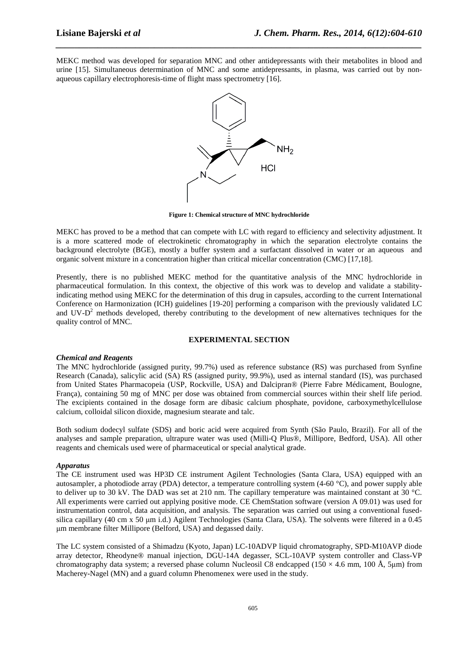MEKC method was developed for separation MNC and other antidepressants with their metabolites in blood and urine [15]. Simultaneous determination of MNC and some antidepressants, in plasma, was carried out by nonaqueous capillary electrophoresis-time of flight mass spectrometry [16].

*\_\_\_\_\_\_\_\_\_\_\_\_\_\_\_\_\_\_\_\_\_\_\_\_\_\_\_\_\_\_\_\_\_\_\_\_\_\_\_\_\_\_\_\_\_\_\_\_\_\_\_\_\_\_\_\_\_\_\_\_\_\_\_\_\_\_\_\_\_\_\_\_\_\_\_\_\_\_*



**Figure 1: Chemical structure of MNC hydrochloride** 

MEKC has proved to be a method that can compete with LC with regard to efficiency and selectivity adjustment. It is a more scattered mode of electrokinetic chromatography in which the separation electrolyte contains the background electrolyte (BGE), mostly a buffer system and a surfactant dissolved in water or an aqueous and organic solvent mixture in a concentration higher than critical micellar concentration (CMC) [17,18].

Presently, there is no published MEKC method for the quantitative analysis of the MNC hydrochloride in pharmaceutical formulation. In this context, the objective of this work was to develop and validate a stabilityindicating method using MEKC for the determination of this drug in capsules, according to the current International Conference on Harmonization (ICH) guidelines [19-20] performing a comparison with the previously validated LC and UV- $D<sup>2</sup>$  methods developed, thereby contributing to the development of new alternatives techniques for the quality control of MNC.

#### **EXPERIMENTAL SECTION**

#### *Chemical and Reagents*

The MNC hydrochloride (assigned purity, 99.7%) used as reference substance (RS) was purchased from Synfine Research (Canada), salicylic acid (SA) RS (assigned purity, 99.9%), used as internal standard (IS), was purchased from United States Pharmacopeia (USP, Rockville, USA) and Dalcipran® (Pierre Fabre Médicament, Boulogne, França), containing 50 mg of MNC per dose was obtained from commercial sources within their shelf life period. The excipients contained in the dosage form are dibasic calcium phosphate, povidone, carboxymethylcellulose calcium, colloidal silicon dioxide, magnesium stearate and talc.

Both sodium dodecyl sulfate (SDS) and boric acid were acquired from Synth (São Paulo, Brazil). For all of the analyses and sample preparation, ultrapure water was used (Milli-Q Plus®, Millipore, Bedford, USA). All other reagents and chemicals used were of pharmaceutical or special analytical grade.

#### *Apparatus*

The CE instrument used was HP3D CE instrument Agilent Technologies (Santa Clara, USA) equipped with an autosampler, a photodiode array (PDA) detector, a temperature controlling system  $(4-60 \degree C)$ , and power supply able to deliver up to 30 kV. The DAD was set at 210 nm. The capillary temperature was maintained constant at 30 °C. All experiments were carried out applying positive mode. CE ChemStation software (version A 09.01) was used for instrumentation control, data acquisition, and analysis. The separation was carried out using a conventional fusedsilica capillary (40 cm x 50  $\mu$ m i.d.) Agilent Technologies (Santa Clara, USA). The solvents were filtered in a 0.45 µm membrane filter Millipore (Belford, USA) and degassed daily.

The LC system consisted of a Shimadzu (Kyoto, Japan) LC-10ADVP liquid chromatography, SPD-M10AVP diode array detector, Rheodyne® manual injection, DGU-14A degasser, SCL-10AVP system controller and Class-VP chromatography data system; a reversed phase column Nucleosil C8 endcapped (150  $\times$  4.6 mm, 100 Å, 5µm) from Macherey-Nagel (MN) and a guard column Phenomenex were used in the study.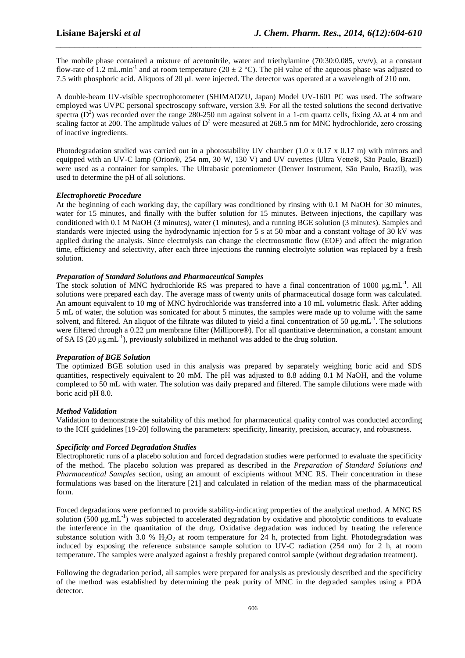The mobile phase contained a mixture of acetonitrile, water and triethylamine (70:30:0.085, v/v/v), at a constant flow-rate of 1.2 mL.min<sup>-1</sup> and at room temperature (20  $\pm$  2 °C). The pH value of the aqueous phase was adjusted to 7.5 with phosphoric acid. Aliquots of 20 µL were injected. The detector was operated at a wavelength of 210 nm.

*\_\_\_\_\_\_\_\_\_\_\_\_\_\_\_\_\_\_\_\_\_\_\_\_\_\_\_\_\_\_\_\_\_\_\_\_\_\_\_\_\_\_\_\_\_\_\_\_\_\_\_\_\_\_\_\_\_\_\_\_\_\_\_\_\_\_\_\_\_\_\_\_\_\_\_\_\_\_*

A double-beam UV-visible spectrophotometer (SHIMADZU, Japan) Model UV-1601 PC was used. The software employed was UVPC personal spectroscopy software, version 3.9. For all the tested solutions the second derivative spectra (D<sup>2</sup>) was recorded over the range 280-250 nm against solvent in a 1-cm quartz cells, fixing  $\Delta\lambda$  at 4 nm and scaling factor at 200. The amplitude values of  $D^2$  were measured at 268.5 nm for MNC hydrochloride, zero crossing of inactive ingredients.

Photodegradation studied was carried out in a photostability UV chamber (1.0 x 0.17 x 0.17 m) with mirrors and equipped with an UV-C lamp (Orion®, 254 nm, 30 W, 130 V) and UV cuvettes (Ultra Vette®, São Paulo, Brazil) were used as a container for samples. The Ultrabasic potentiometer (Denver Instrument, São Paulo, Brazil), was used to determine the pH of all solutions.

## *Electrophoretic Procedure*

At the beginning of each working day, the capillary was conditioned by rinsing with 0.1 M NaOH for 30 minutes, water for 15 minutes, and finally with the buffer solution for 15 minutes. Between injections, the capillary was conditioned with 0.1 M NaOH (3 minutes), water (1 minutes), and a running BGE solution (3 minutes). Samples and standards were injected using the hydrodynamic injection for 5 s at 50 mbar and a constant voltage of 30 kV was applied during the analysis. Since electrolysis can change the electroosmotic flow (EOF) and affect the migration time, efficiency and selectivity, after each three injections the running electrolyte solution was replaced by a fresh solution.

## *Preparation of Standard Solutions and Pharmaceutical Samples*

The stock solution of MNC hydrochloride RS was prepared to have a final concentration of 1000  $\mu$ g.mL<sup>-1</sup>. All solutions were prepared each day. The average mass of twenty units of pharmaceutical dosage form was calculated. An amount equivalent to 10 mg of MNC hydrochloride was transferred into a 10 mL volumetric flask. After adding 5 mL of water, the solution was sonicated for about 5 minutes, the samples were made up to volume with the same solvent, and filtered. An aliquot of the filtrate was diluted to yield a final concentration of 50  $\mu$ g.mL<sup>-1</sup>. The solutions were filtered through a 0.22 um membrane filter (Millipore®). For all quantitative determination, a constant amount of SA IS (20  $\mu$ g.mL<sup>-1</sup>), previously solubilized in methanol was added to the drug solution.

## *Preparation of BGE Solution*

The optimized BGE solution used in this analysis was prepared by separately weighing boric acid and SDS quantities, respectively equivalent to 20 mM. The pH was adjusted to 8.8 adding 0.1 M NaOH, and the volume completed to 50 mL with water. The solution was daily prepared and filtered. The sample dilutions were made with boric acid pH 8.0.

## *Method Validation*

Validation to demonstrate the suitability of this method for pharmaceutical quality control was conducted according to the ICH guidelines [19-20] following the parameters: specificity, linearity, precision, accuracy, and robustness.

## *Specificity and Forced Degradation Studies*

Electrophoretic runs of a placebo solution and forced degradation studies were performed to evaluate the specificity of the method. The placebo solution was prepared as described in the *Preparation of Standard Solutions and Pharmaceutical Samples* section, using an amount of excipients without MNC RS. Their concentration in these formulations was based on the literature [21] and calculated in relation of the median mass of the pharmaceutical form.

Forced degradations were performed to provide stability-indicating properties of the analytical method. A MNC RS solution (500  $\mu$ g.mL<sup>-1</sup>) was subjected to accelerated degradation by oxidative and photolytic conditions to evaluate the interference in the quantitation of the drug. Oxidative degradation was induced by treating the reference substance solution with 3.0 % H<sub>2</sub>O<sub>2</sub> at room temperature for 24 h, protected from light. Photodegradation was induced by exposing the reference substance sample solution to UV-C radiation (254 nm) for 2 h, at room temperature. The samples were analyzed against a freshly prepared control sample (without degradation treatment).

Following the degradation period, all samples were prepared for analysis as previously described and the specificity of the method was established by determining the peak purity of MNC in the degraded samples using a PDA detector.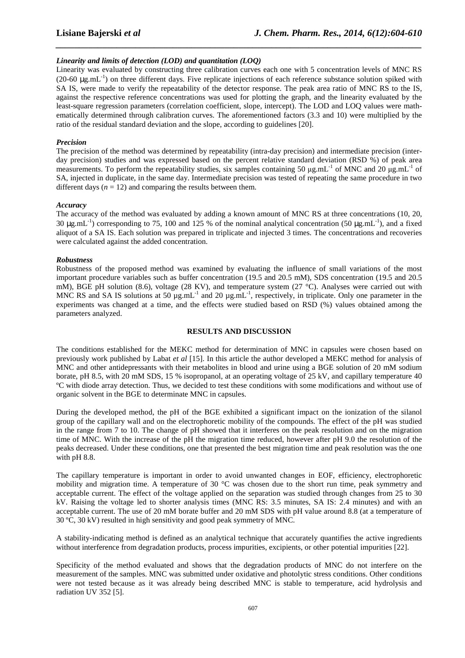#### *Linearity and limits of detection (LOD) and quantitation (LOQ)*

Linearity was evaluated by constructing three calibration curves each one with 5 concentration levels of MNC RS (20-60  $\mu$ g.mL<sup>-1</sup>) on three different days. Five replicate injections of each reference substance solution spiked with SA IS, were made to verify the repeatability of the detector response. The peak area ratio of MNC RS to the IS, against the respective reference concentrations was used for plotting the graph, and the linearity evaluated by the least-square regression parameters (correlation coefficient, slope, intercept). The LOD and LOQ values were mathematically determined through calibration curves. The aforementioned factors (3.3 and 10) were multiplied by the ratio of the residual standard deviation and the slope, according to guidelines [20].

*\_\_\_\_\_\_\_\_\_\_\_\_\_\_\_\_\_\_\_\_\_\_\_\_\_\_\_\_\_\_\_\_\_\_\_\_\_\_\_\_\_\_\_\_\_\_\_\_\_\_\_\_\_\_\_\_\_\_\_\_\_\_\_\_\_\_\_\_\_\_\_\_\_\_\_\_\_\_*

#### *Precision*

The precision of the method was determined by repeatability (intra-day precision) and intermediate precision (interday precision) studies and was expressed based on the percent relative standard deviation (RSD %) of peak area measurements. To perform the repeatability studies, six samples containing 50  $\mu$ g.mL<sup>-1</sup> of MNC and 20  $\mu$ g.mL<sup>-1</sup> of SA, injected in duplicate, in the same day. Intermediate precision was tested of repeating the same procedure in two different days  $(n = 12)$  and comparing the results between them.

#### *Accuracy*

The accuracy of the method was evaluated by adding a known amount of MNC RS at three concentrations (10, 20, 30  $\mu$ g.mL<sup>-1</sup>) corresponding to 75, 100 and 125 % of the nominal analytical concentration (50  $\mu$ g.mL<sup>-1</sup>), and a fixed aliquot of a SA IS. Each solution was prepared in triplicate and injected 3 times. The concentrations and recoveries were calculated against the added concentration.

#### *Robustness*

Robustness of the proposed method was examined by evaluating the influence of small variations of the most important procedure variables such as buffer concentration (19.5 and 20.5 mM), SDS concentration (19.5 and 20.5 mM), BGE pH solution (8.6), voltage (28 KV), and temperature system (27 °C). Analyses were carried out with MNC RS and SA IS solutions at 50  $\mu$ g.mL<sup>-1</sup> and 20  $\mu$ g.mL<sup>-1</sup>, respectively, in triplicate. Only one parameter in the experiments was changed at a time, and the effects were studied based on RSD (%) values obtained among the parameters analyzed.

#### **RESULTS AND DISCUSSION**

The conditions established for the MEKC method for determination of MNC in capsules were chosen based on previously work published by Labat *et al* [15]. In this article the author developed a MEKC method for analysis of MNC and other antidepressants with their metabolites in blood and urine using a BGE solution of 20 mM sodium borate, pH 8.5, with 20 mM SDS, 15 % isopropanol, at an operating voltage of 25 kV, and capillary temperature 40 ºC with diode array detection. Thus, we decided to test these conditions with some modifications and without use of organic solvent in the BGE to determinate MNC in capsules.

During the developed method, the pH of the BGE exhibited a significant impact on the ionization of the silanol group of the capillary wall and on the electrophoretic mobility of the compounds. The effect of the pH was studied in the range from 7 to 10. The change of pH showed that it interferes on the peak resolution and on the migration time of MNC. With the increase of the pH the migration time reduced, however after pH 9.0 the resolution of the peaks decreased. Under these conditions, one that presented the best migration time and peak resolution was the one with pH 8.8.

The capillary temperature is important in order to avoid unwanted changes in EOF, efficiency, electrophoretic mobility and migration time. A temperature of 30 °C was chosen due to the short run time, peak symmetry and acceptable current. The effect of the voltage applied on the separation was studied through changes from 25 to 30 kV. Raising the voltage led to shorter analysis times (MNC RS: 3.5 minutes, SA IS: 2.4 minutes) and with an acceptable current. The use of 20 mM borate buffer and 20 mM SDS with pH value around 8.8 (at a temperature of 30 ºC, 30 kV) resulted in high sensitivity and good peak symmetry of MNC.

A stability-indicating method is defined as an analytical technique that accurately quantifies the active ingredients without interference from degradation products, process impurities, excipients, or other potential impurities [22].

Specificity of the method evaluated and shows that the degradation products of MNC do not interfere on the measurement of the samples. MNC was submitted under oxidative and photolytic stress conditions. Other conditions were not tested because as it was already being described MNC is stable to temperature, acid hydrolysis and radiation UV 352 [5].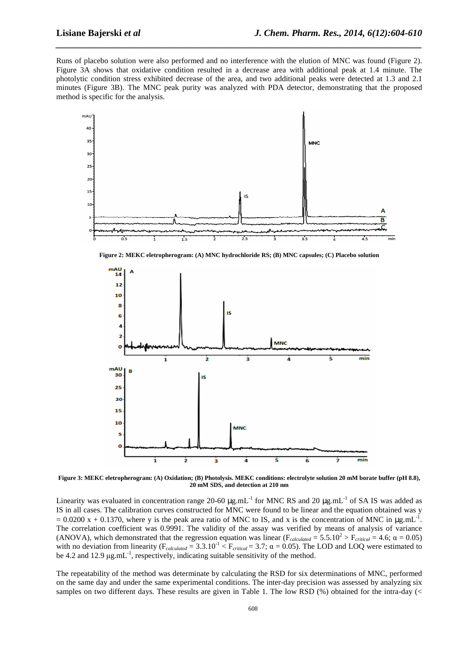Runs of placebo solution were also performed and no interference with the elution of MNC was found (Figure 2). Figure 3A shows that oxidative condition resulted in a decrease area with additional peak at 1.4 minute. The photolytic condition stress exhibited decrease of the area, and two additional peaks were detected at 1.3 and 2.1 minutes (Figure 3B). The MNC peak purity was analyzed with PDA detector, demonstrating that the proposed method is specific for the analysis.

*\_\_\_\_\_\_\_\_\_\_\_\_\_\_\_\_\_\_\_\_\_\_\_\_\_\_\_\_\_\_\_\_\_\_\_\_\_\_\_\_\_\_\_\_\_\_\_\_\_\_\_\_\_\_\_\_\_\_\_\_\_\_\_\_\_\_\_\_\_\_\_\_\_\_\_\_\_\_*



**Figure 2: MEKC eletropherogram: (A) MNC hydrochloride RS; (B) MNC capsules; (C) Placebo solution** 



**Figure 3: MEKC eletropherogram: (A) Oxidation; (B) Photolysis. MEKC conditions: electrolyte solution 20 mM borate buffer (pH 8.8), 20 mM SDS, and detection at 210 nm** 

Linearity was evaluated in concentration range 20-60  $\mu$ g.mL<sup>-1</sup> for MNC RS and 20  $\mu$ g.mL<sup>-1</sup> of SA IS was added as IS in all cases. The calibration curves constructed for MNC were found to be linear and the equation obtained was y  $= 0.0200 \text{ x} + 0.1370$ , where y is the peak area ratio of MNC to IS, and x is the concentration of MNC in  $\mu$ g.mL<sup>-1</sup>. The correlation coefficient was 0.9991. The validity of the assay was verified by means of analysis of variance (ANOVA), which demonstrated that the regression equation was linear ( $F_{calculated} = 5.5.10^2 > F_{critical} = 4.6$ ;  $\alpha = 0.05$ ) with no deviation from linearity ( $F_{calated} = 3.3.10^{-1} < F_{critical} = 3.7$ ;  $\alpha = 0.05$ ). The LOD and LOQ were estimated to be 4.2 and 12.9  $\mu$ g.mL<sup>-1</sup>, respectively, indicating suitable sensitivity of the method.

The repeatability of the method was determinate by calculating the RSD for six determinations of MNC, performed on the same day and under the same experimental conditions. The inter-day precision was assessed by analyzing six samples on two different days. These results are given in Table 1. The low RSD (%) obtained for the intra-day (<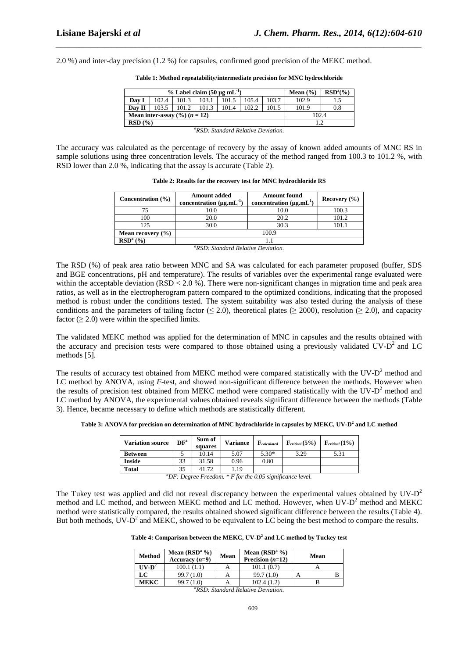2.0 %) and inter-day precision (1.2 %) for capsules, confirmed good precision of the MEKC method.

| $\%$ Label claim (50 µg mL <sup>-1</sup> )   |       |       |       |       |       |       | Mean $(\% )$ | $RSDa(\%)$ |
|----------------------------------------------|-------|-------|-------|-------|-------|-------|--------------|------------|
| Day I                                        | 102.4 | 101.3 | 103.1 | 101.5 | 105.4 | 103.7 | 102.9        |            |
| Dav II                                       | 103.5 | 101.2 | 101.3 | 101.4 | 102.2 | 101.5 | 101.9        | 0.8        |
| Mean inter-assay $(\frac{6}{6})$ $(n = 12)$  |       |       |       |       |       |       | 102.4        |            |
| RSD(%)                                       |       |       |       |       |       |       |              |            |
| ${}^{\alpha}RSD$ Standard Relative Deviation |       |       |       |       |       |       |              |            |

**Table 1: Method repeatability/intermediate precision for MNC hydrochloride** 

*\_\_\_\_\_\_\_\_\_\_\_\_\_\_\_\_\_\_\_\_\_\_\_\_\_\_\_\_\_\_\_\_\_\_\_\_\_\_\_\_\_\_\_\_\_\_\_\_\_\_\_\_\_\_\_\_\_\_\_\_\_\_\_\_\_\_\_\_\_\_\_\_\_\_\_\_\_\_*

The accuracy was calculated as the percentage of recovery by the assay of known added amounts of MNC RS in sample solutions using three concentration levels. The accuracy of the method ranged from 100.3 to 101.2 %, with RSD lower than 2.0 %, indicating that the assay is accurate (Table 2).

**Table 2: Results for the recovery test for MNC hydrochloride RS** 

| Concentration (%)                                                             | <b>Amount added</b><br>concentration $(\mu g.mL^{-1})$ | <b>Amount found</b><br>concentration $(\mu g.mL^1)$ | Recovery $(\% )$ |  |  |  |
|-------------------------------------------------------------------------------|--------------------------------------------------------|-----------------------------------------------------|------------------|--|--|--|
|                                                                               | 10.0                                                   | 10.0                                                | 100.3            |  |  |  |
| 100                                                                           | 20.0                                                   | 20.2                                                | 101.2            |  |  |  |
| 125                                                                           | 30.0                                                   | 30.3                                                | 101.1            |  |  |  |
| Mean recovery $(\% )$                                                         | 100.9                                                  |                                                     |                  |  |  |  |
| $RSDa(\%)$                                                                    |                                                        |                                                     |                  |  |  |  |
| $\theta$ DCD. $\theta$ , $\theta$ , $\theta$ , $\theta$ , $\theta$ , $\theta$ |                                                        |                                                     |                  |  |  |  |

*<sup>a</sup>RSD: Standard Relative Deviation.* 

The RSD (%) of peak area ratio between MNC and SA was calculated for each parameter proposed (buffer, SDS and BGE concentrations, pH and temperature). The results of variables over the experimental range evaluated were within the acceptable deviation ( $RSD < 2.0$ %). There were non-significant changes in migration time and peak area ratios, as well as in the electropherogram pattern compared to the optimized conditions, indicating that the proposed method is robust under the conditions tested. The system suitability was also tested during the analysis of these conditions and the parameters of tailing factor ( $\leq$  2.0), theoretical plates ( $\geq$  2000), resolution ( $\geq$  2.0), and capacity factor  $(\geq 2.0)$  were within the specified limits.

The validated MEKC method was applied for the determination of MNC in capsules and the results obtained with the accuracy and precision tests were compared to those obtained using a previously validated UV- $D<sup>2</sup>$  and LC methods [5].

The results of accuracy test obtained from MEKC method were compared statistically with the UV- $D<sup>2</sup>$  method and LC method by ANOVA, using *F*-test, and showed non-significant difference between the methods. However when the results of precision test obtained from MEKC method were compared statistically with the UV- $D<sup>2</sup>$  method and LC method by ANOVA, the experimental values obtained reveals significant difference between the methods (Table 3). Hence, became necessary to define which methods are statistically different.

**Table 3: ANOVA for precision on determination of MNC hydrochloride in capsules by MEKC, UV-D<sup>2</sup> and LC method** 

| <b>Variation source</b>                                           | DF <sup>a</sup> | Sum of<br>squares | <b>Variance</b> | $\mathbf{F}_{calculated}$ | $\mathbf{F}_{critical}\left(5\%\right)$ | $\mathbf{F}_{critical}(\mathbf{1\%})$ |
|-------------------------------------------------------------------|-----------------|-------------------|-----------------|---------------------------|-----------------------------------------|---------------------------------------|
| <b>Between</b>                                                    |                 | 10.14             | 5.07            | $5.30*$                   | 3.29                                    | 5.31                                  |
| <b>Inside</b>                                                     | 33              | 31.58             | 0.96            | 0.80                      |                                         |                                       |
| <b>Total</b>                                                      | 35              | 41.72             | 1.19            |                           |                                         |                                       |
| $^{a}DF$ : Degree Freedom. $*$ F for the 0.05 significance level. |                 |                   |                 |                           |                                         |                                       |

The Tukey test was applied and did not reveal discrepancy between the experimental values obtained by  $UV-D^2$ method and LC method, and between MEKC method and LC method. However, when UV-D<sup>2</sup> method and MEKC method were statistically compared, the results obtained showed significant difference between the results (Table 4). But both methods,  $UV-D^2$  and MEKC, showed to be equivalent to LC being the best method to compare the results.

**Table 4: Comparison between the MEKC, UV-D<sup>2</sup> and LC method by Tuckey test** 

| <b>Method</b> | Mean $(RSDa %$<br>Accuracy $(n=9)$ | Mean | Mean $(RSDa %$<br>Precision $(n=12)$ | Mean |  |
|---------------|------------------------------------|------|--------------------------------------|------|--|
| $UV-D^2$      | 100.1(1.1)                         |      | 101.1(0.7)                           |      |  |
| LC            | 99.7(1.0)                          |      | 99.7(1.0)                            |      |  |
| <b>MEKC</b>   | 99.7(1.0)                          |      | 102.4(1.2)                           |      |  |

*<sup>a</sup>RSD: Standard Relative Deviation.*